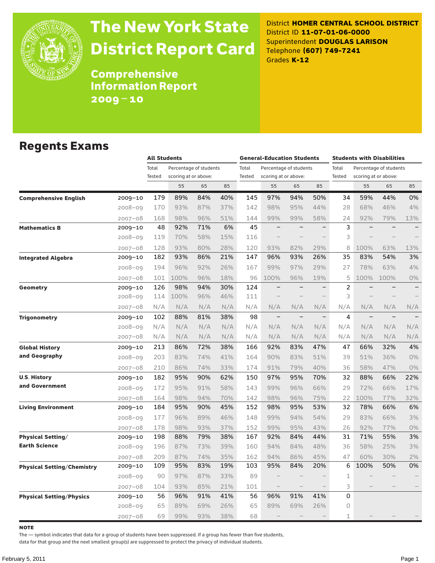

# The New York State District Report Card

District **HOMER CENTRAL SCHOOL DISTRICT** District ID **11-07-01-06-0000** Superintendent **DOUGLAS LARISON** Telephone **(607) 749-7241** Grades **K-12**

**Comprehensive** Information Report 2009–10

### Regents Exams

|                                 |             |        | <b>All Students</b>    |     |     |               | <b>General-Education Students</b> |                        |                          |                | <b>Students with Disabilities</b> |                          |       |  |  |
|---------------------------------|-------------|--------|------------------------|-----|-----|---------------|-----------------------------------|------------------------|--------------------------|----------------|-----------------------------------|--------------------------|-------|--|--|
|                                 |             | Total  | Percentage of students |     |     | Total         |                                   | Percentage of students |                          | Total          | Percentage of students            |                          |       |  |  |
|                                 |             | Tested | scoring at or above:   |     |     | <b>Tested</b> | scoring at or above:              |                        |                          | Tested         |                                   | scoring at or above:     |       |  |  |
|                                 |             |        | 55                     | 65  | 85  |               | 55                                | 65                     | 85                       |                | 55                                | 65                       | 85    |  |  |
| <b>Comprehensive English</b>    | $2009 - 10$ | 179    | 89%                    | 84% | 40% | 145           | 97%                               | 94%                    | 50%                      | 34             | 59%                               | 44%                      | 0%    |  |  |
|                                 | $2008 - 09$ | 170    | 93%                    | 87% | 37% | 142           | 98%                               | 95%                    | 44%                      | 28             | 68%                               | 46%                      | 4%    |  |  |
|                                 | $2007 - 08$ | 168    | 98%                    | 96% | 51% | 144           | 99%                               | 99%                    | 58%                      | 24             | 92%                               | 79%                      | 13%   |  |  |
| <b>Mathematics B</b>            | 2009-10     | 48     | 92%                    | 71% | 6%  | 45            |                                   |                        | $\overline{\phantom{0}}$ | 3              |                                   |                          |       |  |  |
|                                 | $2008 - 09$ | 119    | 70%                    | 58% | 15% | 116           |                                   |                        |                          | 3              |                                   |                          |       |  |  |
|                                 | $2007 - 08$ | 128    | 93%                    | 80% | 28% | 120           | 93%                               | 82%                    | 29%                      | 8              | 100%                              | 63%                      | 13%   |  |  |
| <b>Integrated Algebra</b>       | 2009-10     | 182    | 93%                    | 86% | 21% | 147           | 96%                               | 93%                    | 26%                      | 35             | 83%                               | 54%                      | 3%    |  |  |
|                                 | $2008 - 09$ | 194    | 96%                    | 92% | 26% | 167           | 99%                               | 97%                    | 29%                      | 27             | 78%                               | 63%                      | 4%    |  |  |
|                                 | $2007 - 08$ | 101    | 100%                   | 96% | 18% | 96            | 100%                              | 96%                    | 19%                      | 5              | 100%                              | 100%                     | $0\%$ |  |  |
| <b>Geometry</b>                 | 2009-10     | 126    | 98%                    | 94% | 30% | 124           |                                   |                        |                          | $\overline{c}$ |                                   |                          |       |  |  |
|                                 | $2008 - 09$ | 114    | 100%                   | 96% | 46% | 111           |                                   |                        |                          | 3              |                                   |                          |       |  |  |
|                                 | $2007 - 08$ | N/A    | N/A                    | N/A | N/A | N/A           | N/A                               | N/A                    | N/A                      | N/A            | N/A                               | N/A                      | N/A   |  |  |
| <b>Trigonometry</b>             | 2009-10     | 102    | 88%                    | 81% | 38% | 98            | $\qquad \qquad -$                 |                        | $\overline{\phantom{0}}$ | 4              |                                   | $\overline{\phantom{m}}$ |       |  |  |
|                                 | $2008 - 09$ | N/A    | N/A                    | N/A | N/A | N/A           | N/A                               | N/A                    | N/A                      | N/A            | N/A                               | N/A                      | N/A   |  |  |
|                                 | $2007 - 08$ | N/A    | N/A                    | N/A | N/A | N/A           | N/A                               | N/A                    | N/A                      | N/A            | N/A                               | N/A                      | N/A   |  |  |
| <b>Global History</b>           | $2009 - 10$ | 213    | 86%                    | 72% | 38% | 166           | 92%                               | 83%                    | 47%                      | 47             | 66%                               | 32%                      | 4%    |  |  |
| and Geography                   | $2008 - 09$ | 203    | 83%                    | 74% | 41% | 164           | 90%                               | 83%                    | 51%                      | 39             | 51%                               | 36%                      | 0%    |  |  |
|                                 | $2007 - 08$ | 210    | 86%                    | 74% | 33% | 174           | 91%                               | 79%                    | 40%                      | 36             | 58%                               | 47%                      | $0\%$ |  |  |
| <b>U.S. History</b>             | 2009-10     | 182    | 95%                    | 90% | 62% | 150           | 97%                               | 95%                    | 70%                      | 32             | 88%                               | 66%                      | 22%   |  |  |
| and Government                  | $2008 - 09$ | 172    | 95%                    | 91% | 58% | 143           | 99%                               | 96%                    | 66%                      | 29             | 72%                               | 66%                      | 17%   |  |  |
|                                 | $2007 - 08$ | 164    | 98%                    | 94% | 70% | 142           | 98%                               | 96%                    | 75%                      | 22             | 100%                              | 77%                      | 32%   |  |  |
| <b>Living Environment</b>       | 2009-10     | 184    | 95%                    | 90% | 45% | 152           | 98%                               | 95%                    | 53%                      | 32             | 78%                               | 66%                      | 6%    |  |  |
|                                 | $2008 - 09$ | 177    | 96%                    | 89% | 46% | 148           | 99%                               | 94%                    | 54%                      | 29             | 83%                               | 66%                      | 3%    |  |  |
|                                 | $2007 - 08$ | 178    | 98%                    | 93% | 37% | 152           | 99%                               | 95%                    | 43%                      | 26             | 92%                               | 77%                      | $0\%$ |  |  |
| <b>Physical Setting/</b>        | 2009-10     | 198    | 88%                    | 79% | 38% | 167           | 92%                               | 84%                    | 44%                      | 31             | 71%                               | 55%                      | 3%    |  |  |
| <b>Earth Science</b>            | $2008 - 09$ | 196    | 87%                    | 73% | 39% | 160           | 94%                               | 84%                    | 48%                      | 36             | 58%                               | 25%                      | 3%    |  |  |
|                                 | $2007 - 08$ | 209    | 87%                    | 74% | 35% | 162           | 94%                               | 86%                    | 45%                      | 47             | 60%                               | 30%                      | 2%    |  |  |
| Physical Setting/Chemistry      | 2009-10     | 109    | 95%                    | 83% | 19% | 103           | 95%                               | 84%                    | 20%                      | 6              | 100%                              | 50%                      | 0%    |  |  |
|                                 | $2008 - 09$ | 90     | 97%                    | 87% | 33% | 89            |                                   |                        |                          | 1              |                                   |                          |       |  |  |
|                                 | $2007 - 08$ | 104    | 93%                    | 85% | 21% | 101           | $\qquad \qquad -$                 |                        | $\qquad \qquad -$        | 3              |                                   |                          |       |  |  |
| <b>Physical Setting/Physics</b> | 2009-10     | 56     | 96%                    | 91% | 41% | 56            | 96%                               | 91%                    | 41%                      | 0              |                                   |                          |       |  |  |
|                                 | $2008 - 09$ | 65     | 89%                    | 69% | 26% | 65            | 89%                               | 69%                    | 26%                      | $\circ$        |                                   |                          |       |  |  |
|                                 | $2007 - 08$ | 69     | 99%                    | 93% | 38% | 68            |                                   |                        |                          | $\mathbf 1$    |                                   |                          |       |  |  |

**NOTE** 

The — symbol indicates that data for a group of students have been suppressed. If a group has fewer than five students,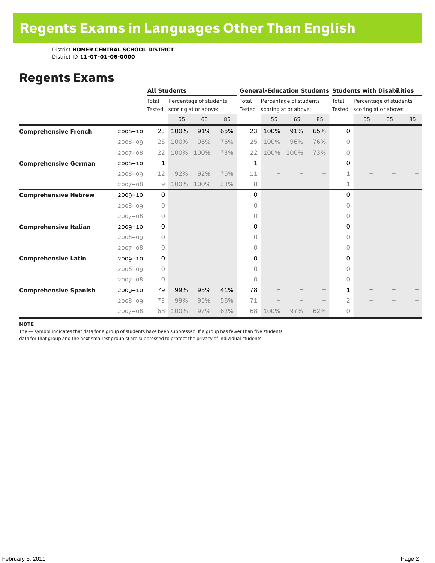### Regents Exams

|                              |             | <b>All Students</b> |      |                                                |     | <b>General-Education Students Students with Disabilities</b> |      |                                                       |     |              |                                                       |    |    |  |
|------------------------------|-------------|---------------------|------|------------------------------------------------|-----|--------------------------------------------------------------|------|-------------------------------------------------------|-----|--------------|-------------------------------------------------------|----|----|--|
|                              |             | Total<br>Tested     |      | Percentage of students<br>scoring at or above: |     | Total                                                        |      | Percentage of students<br>Tested scoring at or above: |     | Total        | Percentage of students<br>Tested scoring at or above: |    |    |  |
|                              |             |                     | 55   | 65                                             | 85  |                                                              | 55   | 65                                                    | 85  |              | 55                                                    | 65 | 85 |  |
| <b>Comprehensive French</b>  | $2009 - 10$ | 23                  | 100% | 91%                                            | 65% | 23                                                           | 100% | 91%                                                   | 65% | 0            |                                                       |    |    |  |
|                              | $2008 - 09$ | 25                  | 100% | 96%                                            | 76% | 25                                                           | 100% | 96%                                                   | 76% | $\circ$      |                                                       |    |    |  |
|                              | $2007 - 08$ | 22                  | 100% | 100%                                           | 73% | 22                                                           | 100% | 100%                                                  | 73% | 0            |                                                       |    |    |  |
| <b>Comprehensive German</b>  | $2009 - 10$ | $\mathbf{1}$        |      |                                                |     | 1                                                            |      |                                                       |     | 0            |                                                       |    |    |  |
|                              | $2008 - 09$ | 12                  | 92%  | 92%                                            | 75% | 11                                                           |      |                                                       |     | 1            |                                                       |    |    |  |
|                              | $2007 - 08$ | 9                   | 100% | 100%                                           | 33% | 8                                                            |      |                                                       |     | 1            |                                                       |    |    |  |
| <b>Comprehensive Hebrew</b>  | $2009 - 10$ | $\mathbf 0$         |      |                                                |     | 0                                                            |      |                                                       |     | 0            |                                                       |    |    |  |
|                              | $2008 - 09$ | $\circ$             |      |                                                |     | 0                                                            |      |                                                       |     | 0            |                                                       |    |    |  |
|                              | $2007 - 08$ | 0                   |      |                                                |     | 0                                                            |      |                                                       |     | 0            |                                                       |    |    |  |
| <b>Comprehensive Italian</b> | $2009 - 10$ | $\mathbf 0$         |      |                                                |     | 0                                                            |      |                                                       |     | 0            |                                                       |    |    |  |
|                              | $2008 - 09$ | $\circ$             |      |                                                |     | 0                                                            |      |                                                       |     | $\Omega$     |                                                       |    |    |  |
|                              | $2007 - 08$ | 0                   |      |                                                |     | 0                                                            |      |                                                       |     | $\circ$      |                                                       |    |    |  |
| <b>Comprehensive Latin</b>   | $2009 - 10$ | 0                   |      |                                                |     | 0                                                            |      |                                                       |     | $\Omega$     |                                                       |    |    |  |
|                              | $2008 - 09$ | $\circ$             |      |                                                |     | 0                                                            |      |                                                       |     | $\bigcap$    |                                                       |    |    |  |
|                              | $2007 - 08$ | $\circ$             |      |                                                |     | 0                                                            |      |                                                       |     | $\circ$      |                                                       |    |    |  |
| <b>Comprehensive Spanish</b> | $2009 - 10$ | 79                  | 99%  | 95%                                            | 41% | 78                                                           |      |                                                       |     | $\mathbf{1}$ |                                                       |    |    |  |
|                              | $2008 - 09$ | 73                  | 99%  | 95%                                            | 56% | 71                                                           |      |                                                       |     | 2            |                                                       |    |    |  |
|                              | $2007 - 08$ | 68                  | 100% | 97%                                            | 62% | 68                                                           | 100% | 97%                                                   | 62% | 0            |                                                       |    |    |  |

#### note

The — symbol indicates that data for a group of students have been suppressed. If a group has fewer than five students,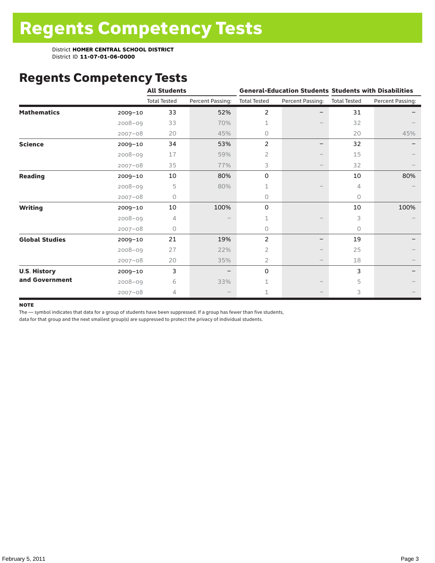## Regents Competency Tests

|                       |             | <b>All Students</b> |                  |                     |                   | <b>General-Education Students Students with Disabilities</b> |                  |  |  |
|-----------------------|-------------|---------------------|------------------|---------------------|-------------------|--------------------------------------------------------------|------------------|--|--|
|                       |             | <b>Total Tested</b> | Percent Passing: | <b>Total Tested</b> | Percent Passing:  | <b>Total Tested</b>                                          | Percent Passing: |  |  |
| <b>Mathematics</b>    | $2009 - 10$ | 33                  | 52%              | $\overline{c}$      | —                 | 31                                                           |                  |  |  |
|                       | $2008 - 09$ | 33                  | 70%              | $\mathbf{1}$        |                   | 32                                                           |                  |  |  |
|                       | $2007 - 08$ | 20                  | 45%              | 0                   |                   | 20                                                           | 45%              |  |  |
| <b>Science</b>        | 2009-10     | 34                  | 53%              | $\overline{c}$      |                   | 32                                                           |                  |  |  |
|                       | $2008 - 09$ | 17                  | 59%              | 2                   |                   | 15                                                           |                  |  |  |
|                       | $2007 - 08$ | 35                  | 77%              | 3                   | $\qquad \qquad -$ | 32                                                           |                  |  |  |
| <b>Reading</b>        | $2009 - 10$ | 10                  | 80%              | 0                   |                   | 10                                                           | 80%              |  |  |
|                       | $2008 - 09$ | 5                   | 80%              | 1                   |                   | 4                                                            |                  |  |  |
|                       | $2007 - 08$ | 0                   |                  | 0                   |                   | $\circ$                                                      |                  |  |  |
| <b>Writing</b>        | 2009-10     | 10                  | 100%             | 0                   |                   | 10                                                           | 100%             |  |  |
|                       | $2008 - 09$ | 4                   |                  | 1                   |                   | 3                                                            |                  |  |  |
|                       | $2007 - 08$ | 0                   |                  | 0                   |                   | 0                                                            |                  |  |  |
| <b>Global Studies</b> | $2009 - 10$ | 21                  | 19%              | $\overline{c}$      |                   | 19                                                           |                  |  |  |
|                       | $2008 - 09$ | 27                  | 22%              | 2                   |                   | 25                                                           |                  |  |  |
|                       | $2007 - 08$ | 20                  | 35%              | 2                   | $\qquad \qquad -$ | 18                                                           |                  |  |  |
| <b>U.S. History</b>   | 2009-10     | 3                   |                  | 0                   |                   | 3                                                            |                  |  |  |
| and Government        | $2008 - 09$ | 6                   | 33%              |                     |                   | 5                                                            |                  |  |  |
|                       | $2007 - 08$ | 4                   |                  |                     |                   | 3                                                            |                  |  |  |

#### **NOTE**

The — symbol indicates that data for a group of students have been suppressed. If a group has fewer than five students,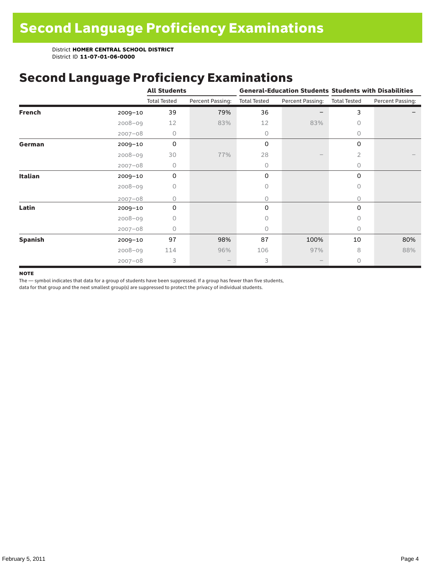## Second Language Proficiency Examinations

|                |             | <b>All Students</b> |                  |                     |                  | <b>General-Education Students Students with Disabilities</b> |                  |  |  |
|----------------|-------------|---------------------|------------------|---------------------|------------------|--------------------------------------------------------------|------------------|--|--|
|                |             | <b>Total Tested</b> | Percent Passing: | <b>Total Tested</b> | Percent Passing: | <b>Total Tested</b>                                          | Percent Passing: |  |  |
| <b>French</b>  | $2009 - 10$ | 39                  | 79%              | 36                  |                  | 3                                                            |                  |  |  |
|                | $2008 - 09$ | 12                  | 83%              | 12                  | 83%              | $\Omega$                                                     |                  |  |  |
|                | $2007 - 08$ | 0                   |                  | 0                   |                  | 0                                                            |                  |  |  |
| German         | 2009-10     | $\mathbf 0$         |                  | 0                   |                  | 0                                                            |                  |  |  |
|                | $2008 - 09$ | 30                  | 77%              | 28                  |                  | $\overline{2}$                                               |                  |  |  |
|                | $2007 - 08$ | 0                   |                  | 0                   |                  | $\Omega$                                                     |                  |  |  |
| <b>Italian</b> | $2009 - 10$ | 0                   |                  | 0                   |                  | 0                                                            |                  |  |  |
|                | $2008 - 09$ | 0                   |                  | 0                   |                  | $\Omega$                                                     |                  |  |  |
|                | $2007 - 08$ | O                   |                  | 0                   |                  | 0                                                            |                  |  |  |
| Latin          | 2009-10     | 0                   |                  | 0                   |                  | 0                                                            |                  |  |  |
|                | $2008 - 09$ | 0                   |                  | 0                   |                  | $\Omega$                                                     |                  |  |  |
|                | $2007 - 08$ | 0                   |                  | 0                   |                  | 0                                                            |                  |  |  |
| <b>Spanish</b> | $2009 - 10$ | 97                  | 98%              | 87                  | 100%             | 10                                                           | 80%              |  |  |
|                | $2008 - 09$ | 114                 | 96%              | 106                 | 97%              | 8                                                            | 88%              |  |  |
|                | $2007 - 08$ | 3                   |                  | 3                   |                  | $\circ$                                                      |                  |  |  |

#### **NOTE**

The — symbol indicates that data for a group of students have been suppressed. If a group has fewer than five students,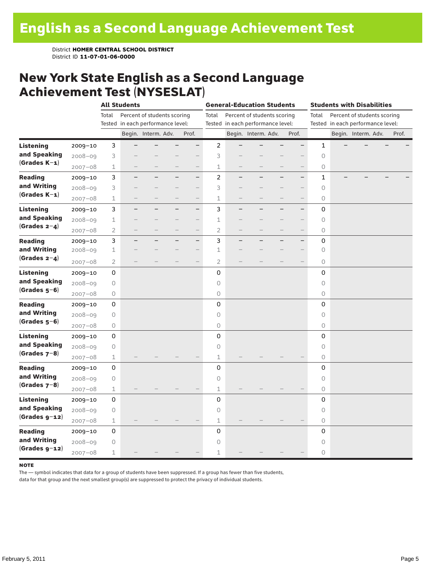### New York State English as a Second Language Achievement Test (NYSESLAT)

|                  |             | <b>All Students</b> |                                   |                             |                   |                          | <b>General-Education Students</b> |                                   |                     |                             |                          | <b>Students with Disabilities</b> |  |                                   |       |
|------------------|-------------|---------------------|-----------------------------------|-----------------------------|-------------------|--------------------------|-----------------------------------|-----------------------------------|---------------------|-----------------------------|--------------------------|-----------------------------------|--|-----------------------------------|-------|
|                  |             | Total               |                                   | Percent of students scoring |                   |                          | Total                             |                                   |                     | Percent of students scoring |                          | Total                             |  | Percent of students scoring       |       |
|                  |             |                     | Tested in each performance level: |                             |                   |                          |                                   | Tested in each performance level: |                     |                             |                          |                                   |  | Tested in each performance level: |       |
|                  |             |                     |                                   | Begin. Interm. Adv.         |                   | Prof.                    |                                   |                                   | Begin. Interm. Adv. |                             | Prof.                    |                                   |  | Begin. Interm. Adv.               | Prof. |
| <b>Listening</b> | 2009-10     | 3                   |                                   |                             |                   | $\overline{\phantom{0}}$ | $\overline{c}$                    |                                   |                     |                             | $\overline{\phantom{0}}$ | 1                                 |  |                                   |       |
| and Speaking     | 2008-09     | 3                   |                                   |                             |                   |                          | 3                                 |                                   |                     |                             |                          | $\circ$                           |  |                                   |       |
| $(Grades K-1)$   | $2007 - 08$ | $\mathbf 1$         |                                   |                             |                   | $\overline{\phantom{0}}$ | 1                                 |                                   |                     |                             | $\qquad \qquad -$        | 0                                 |  |                                   |       |
| <b>Reading</b>   | 2009-10     | 3                   |                                   |                             |                   | $-$                      | $\overline{c}$                    |                                   |                     |                             | $\overline{\phantom{0}}$ | 1                                 |  |                                   |       |
| and Writing      | $2008 - 09$ | 3                   |                                   |                             |                   | $-$                      | 3                                 |                                   |                     |                             |                          | $\circ$                           |  |                                   |       |
| $(Grades K-1)$   | $2007 - 08$ | $\mathbf 1$         |                                   |                             |                   | $\overline{\phantom{0}}$ | $\mathbf 1$                       |                                   |                     |                             | $\overline{\phantom{0}}$ | $\circ$                           |  |                                   |       |
| <b>Listening</b> | 2009-10     | 3                   | $\overline{\phantom{0}}$          |                             | $\qquad \qquad -$ | $-$                      | 3                                 | $\overline{\phantom{0}}$          |                     | $\overline{\phantom{0}}$    | $\qquad \qquad -$        | 0                                 |  |                                   |       |
| and Speaking     | $2008 - 09$ | $\mathbf 1$         |                                   |                             |                   |                          | 1                                 |                                   |                     |                             |                          | 0                                 |  |                                   |       |
| (Grades $2-4$ )  | $2007 - 08$ | $\overline{2}$      |                                   |                             |                   | $\overline{\phantom{0}}$ | $\overline{2}$                    |                                   |                     |                             | $\qquad \qquad -$        | 0                                 |  |                                   |       |
| <b>Reading</b>   | $2009 - 10$ | 3                   |                                   |                             |                   | $\overline{\phantom{0}}$ | 3                                 |                                   |                     |                             | $\overline{\phantom{0}}$ | 0                                 |  |                                   |       |
| and Writing      | 2008-09     | $\mathbf 1$         |                                   |                             |                   |                          | $\mathbf 1$                       |                                   |                     |                             |                          | 0                                 |  |                                   |       |
| (Grades $2-4$ )  | $2007 - 08$ | $\overline{2}$      |                                   |                             |                   | $\qquad \qquad -$        | $\overline{2}$                    |                                   |                     |                             |                          | $\bigcirc$                        |  |                                   |       |
| <b>Listening</b> | 2009-10     | 0                   |                                   |                             |                   |                          | $\mathbf 0$                       |                                   |                     |                             |                          | 0                                 |  |                                   |       |
| and Speaking     | $2008 - 09$ | $\bigcirc$          |                                   |                             |                   |                          | 0                                 |                                   |                     |                             |                          | $\circ$                           |  |                                   |       |
| $(Grades 5-6)$   | $2007 - 08$ | $\mathsf O$         |                                   |                             |                   |                          | 0                                 |                                   |                     |                             |                          | 0                                 |  |                                   |       |
| <b>Reading</b>   | $2009 - 10$ | 0                   |                                   |                             |                   |                          | 0                                 |                                   |                     |                             |                          | 0                                 |  |                                   |       |
| and Writing      | $2008 - 09$ | $\mathsf O$         |                                   |                             |                   |                          | 0                                 |                                   |                     |                             |                          | $\circ$                           |  |                                   |       |
| $(Grades 5-6)$   | $2007 - 08$ | $\circ$             |                                   |                             |                   |                          | $\bigcirc$                        |                                   |                     |                             |                          | $\circ$                           |  |                                   |       |
| Listening        | 2009-10     | 0                   |                                   |                             |                   |                          | 0                                 |                                   |                     |                             |                          | 0                                 |  |                                   |       |
| and Speaking     | $2008 - 09$ | $\mathsf O$         |                                   |                             |                   |                          | 0                                 |                                   |                     |                             |                          | $\circ$                           |  |                                   |       |
| $(Grades 7-8)$   | $2007 - 08$ | 1                   |                                   |                             |                   |                          | 1                                 |                                   |                     |                             |                          | 0                                 |  |                                   |       |
| <b>Reading</b>   | $2009 - 10$ | 0                   |                                   |                             |                   |                          | 0                                 |                                   |                     |                             |                          | 0                                 |  |                                   |       |
| and Writing      | 2008-09     | 0                   |                                   |                             |                   |                          | 0                                 |                                   |                     |                             |                          | 0                                 |  |                                   |       |
| $(Grades 7-8)$   | $2007 - 08$ | $\mathbf 1$         |                                   |                             |                   |                          | 1                                 |                                   |                     |                             |                          | 0                                 |  |                                   |       |
| <b>Listening</b> | 2009-10     | 0                   |                                   |                             |                   |                          | 0                                 |                                   |                     |                             |                          | 0                                 |  |                                   |       |
| and Speaking     | $2008 - 09$ | $\mathsf O$         |                                   |                             |                   |                          | 0                                 |                                   |                     |                             |                          | $\circ$                           |  |                                   |       |
| $(Grades g-12)$  | $2007 - 08$ | $\mathbf 1$         |                                   |                             |                   |                          | 1                                 |                                   |                     |                             |                          | 0                                 |  |                                   |       |
| <b>Reading</b>   | 2009-10     | 0                   |                                   |                             |                   |                          | 0                                 |                                   |                     |                             |                          | 0                                 |  |                                   |       |
| and Writing      | $2008 - 09$ | 0                   |                                   |                             |                   |                          | 0                                 |                                   |                     |                             |                          | 0                                 |  |                                   |       |
| $(Grades g-12)$  | $2007 - 08$ | $\mathbf 1$         |                                   |                             |                   |                          | 1                                 |                                   |                     |                             |                          | 0                                 |  |                                   |       |

#### **NOTE**

The — symbol indicates that data for a group of students have been suppressed. If a group has fewer than five students,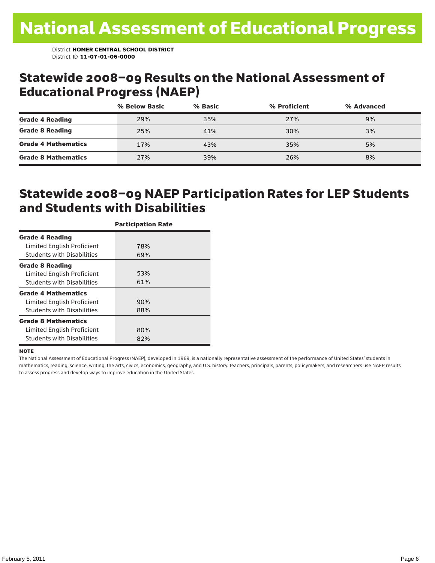### Statewide 2008–09 Results on the National Assessment of Educational Progress (NAEP)

|                            | % Below Basic | % Basic | % Proficient | % Advanced |  |
|----------------------------|---------------|---------|--------------|------------|--|
| <b>Grade 4 Reading</b>     | 29%           | 35%     | 27%          | 9%         |  |
| <b>Grade 8 Reading</b>     | 25%           | 41%     | 30%          | 3%         |  |
| <b>Grade 4 Mathematics</b> | 17%           | 43%     | 35%          | 5%         |  |
| <b>Grade 8 Mathematics</b> | 27%           | 39%     | 26%          | 8%         |  |

### Statewide 2008–09 NAEP Participation Rates for LEP Students and Students with Disabilities

|                                   | <b>Participation Rate</b> |
|-----------------------------------|---------------------------|
| <b>Grade 4 Reading</b>            |                           |
| Limited English Proficient        | 78%                       |
| <b>Students with Disabilities</b> | 69%                       |
| <b>Grade 8 Reading</b>            |                           |
| Limited English Proficient        | 53%                       |
| <b>Students with Disabilities</b> | 61%                       |
| <b>Grade 4 Mathematics</b>        |                           |
| Limited English Proficient        | 90%                       |
| <b>Students with Disabilities</b> | 88%                       |
| <b>Grade 8 Mathematics</b>        |                           |
| Limited English Proficient        | 80%                       |
| <b>Students with Disabilities</b> | 82%                       |

#### **NOTE**

The National Assessment of Educational Progress (NAEP), developed in 1969, is a nationally representative assessment of the performance of United States' students in mathematics, reading, science, writing, the arts, civics, economics, geography, and U.S. history. Teachers, principals, parents, policymakers, and researchers use NAEP results to assess progress and develop ways to improve education in the United States.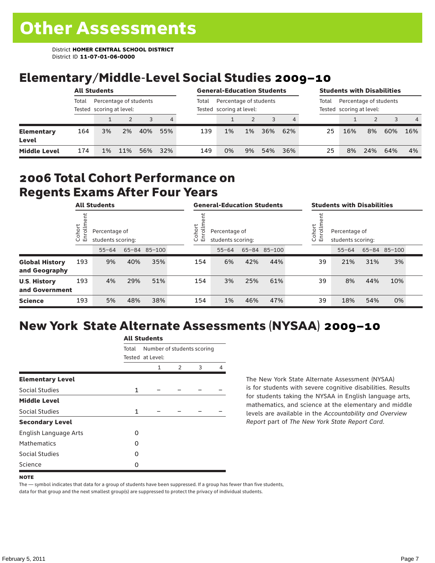## Elementary/Middle-Level Social Studies 2009–10

|                            | <b>All Students</b> |                                                    |     |     |     | <b>General-Education Students</b> |                                                    |       |     |     | <b>Students with Disabilities</b> |                                                    |     |     |                |  |
|----------------------------|---------------------|----------------------------------------------------|-----|-----|-----|-----------------------------------|----------------------------------------------------|-------|-----|-----|-----------------------------------|----------------------------------------------------|-----|-----|----------------|--|
|                            | Total               | Percentage of students<br>Tested scoring at level: |     |     |     | Total                             | Percentage of students<br>Tested scoring at level: |       |     |     | Total                             | Percentage of students<br>Tested scoring at level: |     |     |                |  |
|                            |                     |                                                    |     |     | 4   |                                   |                                                    |       |     |     |                                   |                                                    |     |     | $\overline{4}$ |  |
| <b>Elementary</b><br>Level | 164                 | 3%                                                 | 2%  | 40% | 55% | 139                               | 1%                                                 | $1\%$ | 36% | 62% | 25                                | 16%                                                | 8%  | 60% | 16%            |  |
| <b>Middle Level</b>        | 174                 | 1%                                                 | 11% | 56% | 32% | 149                               | 0%                                                 | 9%    | 54% | 36% | 25                                | 8%                                                 | 24% | 64% | 4%             |  |

### 2006 Total Cohort Performance on Regents Exams After Four Years

|                                        | <b>All Students</b>     |    |                                                                 |     |  | <b>General-Education Students</b> |                                    |     |              |  | <b>Students with Disabilities</b>                            |           |     |              |  |
|----------------------------------------|-------------------------|----|-----------------------------------------------------------------|-----|--|-----------------------------------|------------------------------------|-----|--------------|--|--------------------------------------------------------------|-----------|-----|--------------|--|
|                                        | Cohort<br>$\circ$<br>「四 |    | Percentage of<br>students scoring:<br>65-84 85-100<br>$55 - 64$ |     |  |                                   | Percentage of<br>students scoring: |     |              |  | Cohort<br>Percentage of<br>$\circ$<br>문<br>students scoring: |           |     |              |  |
|                                        |                         |    |                                                                 |     |  |                                   | $55 - 64$                          |     | 65-84 85-100 |  |                                                              | $55 - 64$ |     | 65-84 85-100 |  |
| <b>Global History</b><br>and Geography | 193                     | 9% | 40%                                                             | 35% |  | 154                               | 6%                                 | 42% | 44%          |  | 39                                                           | 21%       | 31% | 3%           |  |
| <b>U.S. History</b><br>and Government  | 193                     | 4% | 29%                                                             | 51% |  | 154                               | 3%                                 | 25% | 61%          |  | 39                                                           | 8%        | 44% | 10%          |  |
| <b>Science</b>                         | 193                     | 5% | 48%                                                             | 38% |  | 154                               | 1%                                 | 46% | 47%          |  | 39                                                           | 18%       | 54% | 0%           |  |

## New York State Alternate Assessments (NYSAA) 2009–10

|                         | <b>All Students</b> |                                                |               |   |   |  |  |  |  |  |  |
|-------------------------|---------------------|------------------------------------------------|---------------|---|---|--|--|--|--|--|--|
|                         | Total               | Number of students scoring<br>Tested at Level: |               |   |   |  |  |  |  |  |  |
|                         |                     | 1                                              | $\mathcal{P}$ | 3 | 4 |  |  |  |  |  |  |
| <b>Elementary Level</b> |                     |                                                |               |   |   |  |  |  |  |  |  |
| Social Studies          | $\mathbf{1}$        |                                                |               |   |   |  |  |  |  |  |  |
| <b>Middle Level</b>     |                     |                                                |               |   |   |  |  |  |  |  |  |
| Social Studies          | $\mathbf{1}$        |                                                |               |   |   |  |  |  |  |  |  |
| <b>Secondary Level</b>  |                     |                                                |               |   |   |  |  |  |  |  |  |
| English Language Arts   | ი                   |                                                |               |   |   |  |  |  |  |  |  |
| <b>Mathematics</b>      | O                   |                                                |               |   |   |  |  |  |  |  |  |
| <b>Social Studies</b>   | O                   |                                                |               |   |   |  |  |  |  |  |  |
| Science                 | O                   |                                                |               |   |   |  |  |  |  |  |  |

The New York State Alternate Assessment (NYSAA) is for students with severe cognitive disabilities. Results for students taking the NYSAA in English language arts, mathematics, and science at the elementary and middle levels are available in the *Accountability and Overview Report* part of *The New York State Report Card*.

#### **NOTE**

The — symbol indicates that data for a group of students have been suppressed. If a group has fewer than five students, data for that group and the next smallest group(s) are suppressed to protect the privacy of individual students.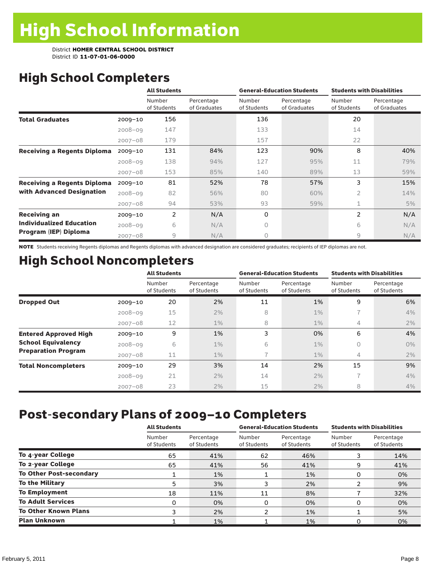## High School Completers

|                                    |             | <b>All Students</b>   |                            |                       | <b>General-Education Students</b> | <b>Students with Disabilities</b> |                            |
|------------------------------------|-------------|-----------------------|----------------------------|-----------------------|-----------------------------------|-----------------------------------|----------------------------|
|                                    |             | Number<br>of Students | Percentage<br>of Graduates | Number<br>of Students | Percentage<br>of Graduates        | Number<br>of Students             | Percentage<br>of Graduates |
| <b>Total Graduates</b>             | $2009 - 10$ | 156                   |                            | 136                   |                                   | 20                                |                            |
|                                    | $2008 - 09$ | 147                   |                            | 133                   |                                   | 14                                |                            |
|                                    | $2007 - 08$ | 179                   |                            | 157                   |                                   | 22                                |                            |
| <b>Receiving a Regents Diploma</b> | $2009 - 10$ | 131                   | 84%                        | 123                   | 90%                               | 8                                 | 40%                        |
|                                    | $2008 - 09$ | 138                   | 94%                        | 127                   | 95%                               | 11                                | 79%                        |
|                                    | $2007 - 08$ | 153                   | 85%                        | 140                   | 89%                               | 13                                | 59%                        |
| <b>Receiving a Regents Diploma</b> | $2009 - 10$ | 81                    | 52%                        | 78                    | 57%                               | 3                                 | 15%                        |
| with Advanced Designation          | $2008 - 09$ | 82                    | 56%                        | 80                    | 60%                               | 2                                 | 14%                        |
|                                    | $2007 - 08$ | 94                    | 53%                        | 93                    | 59%                               | 1                                 | 5%                         |
| <b>Receiving an</b>                | $2009 - 10$ | 2                     | N/A                        | 0                     |                                   | 2                                 | N/A                        |
| <b>Individualized Education</b>    | $2008 - 09$ | 6                     | N/A                        | 0                     |                                   | 6                                 | N/A                        |
| Program (IEP) Diploma              | $2007 - 08$ | $\overline{9}$        | N/A                        | 0                     |                                   | 9                                 | N/A                        |

NOTE Students receiving Regents diplomas and Regents diplomas with advanced designation are considered graduates; recipients of IEP diplomas are not.

## High School Noncompleters

|                              |             | <b>All Students</b>   |                           |                       | <b>General-Education Students</b> | <b>Students with Disabilities</b> |                           |  |  |
|------------------------------|-------------|-----------------------|---------------------------|-----------------------|-----------------------------------|-----------------------------------|---------------------------|--|--|
|                              |             | Number<br>of Students | Percentage<br>of Students | Number<br>of Students | Percentage<br>of Students         | Number<br>of Students             | Percentage<br>of Students |  |  |
| <b>Dropped Out</b>           | $2009 - 10$ | 20                    | 2%                        | 11                    | 1%                                | 9                                 | 6%                        |  |  |
|                              | $2008 - 09$ | 15                    | 2%                        | 8                     | $1\%$                             |                                   | 4%                        |  |  |
|                              | $2007 - 08$ | 12                    | $1\%$                     | 8                     | $1\%$                             | 4                                 | 2%                        |  |  |
| <b>Entered Approved High</b> | $2009 - 10$ | 9                     | 1%                        | 3                     | 0%                                | 6                                 | 4%                        |  |  |
| <b>School Equivalency</b>    | $2008 - 09$ | 6                     | $1\%$                     | 6                     | $1\%$                             | 0                                 | $0\%$                     |  |  |
| <b>Preparation Program</b>   | $2007 - 08$ | 11                    | $1\%$                     |                       | $1\%$                             | 4                                 | 2%                        |  |  |
| <b>Total Noncompleters</b>   | $2009 - 10$ | 29                    | 3%                        | 14                    | 2%                                | 15                                | 9%                        |  |  |
|                              | $2008 - 09$ | 21                    | 2%                        | 14                    | 2%                                | $\overline{\phantom{1}}$          | 4%                        |  |  |
|                              | $2007 - 08$ | 23                    | 2%                        | 15                    | 2%                                | 8                                 | 4%                        |  |  |

## Post-secondary Plans of 2009–10 Completers

|                                | <b>All Students</b>   |                           | <b>General-Education Students</b> |                           | <b>Students with Disabilities</b> |                           |
|--------------------------------|-----------------------|---------------------------|-----------------------------------|---------------------------|-----------------------------------|---------------------------|
|                                | Number<br>of Students | Percentage<br>of Students | Number<br>of Students             | Percentage<br>of Students | Number<br>of Students             | Percentage<br>of Students |
| To 4-year College              | 65                    | 41%                       | 62                                | 46%                       |                                   | 14%                       |
| To 2-year College              | 65                    | 41%                       | 56                                | 41%                       | 9                                 | 41%                       |
| <b>To Other Post-secondary</b> |                       | 1%                        |                                   | 1%                        | O                                 | 0%                        |
| <b>To the Military</b>         | 5                     | 3%                        | 3                                 | 2%                        | າ                                 | 9%                        |
| <b>To Employment</b>           | 18                    | 11%                       | 11                                | 8%                        |                                   | 32%                       |
| <b>To Adult Services</b>       | 0                     | 0%                        | 0                                 | 0%                        | O                                 | 0%                        |
| <b>To Other Known Plans</b>    | 3                     | 2%                        | າ                                 | 1%                        |                                   | 5%                        |
| <b>Plan Unknown</b>            |                       | 1%                        |                                   | 1%                        | O                                 | 0%                        |